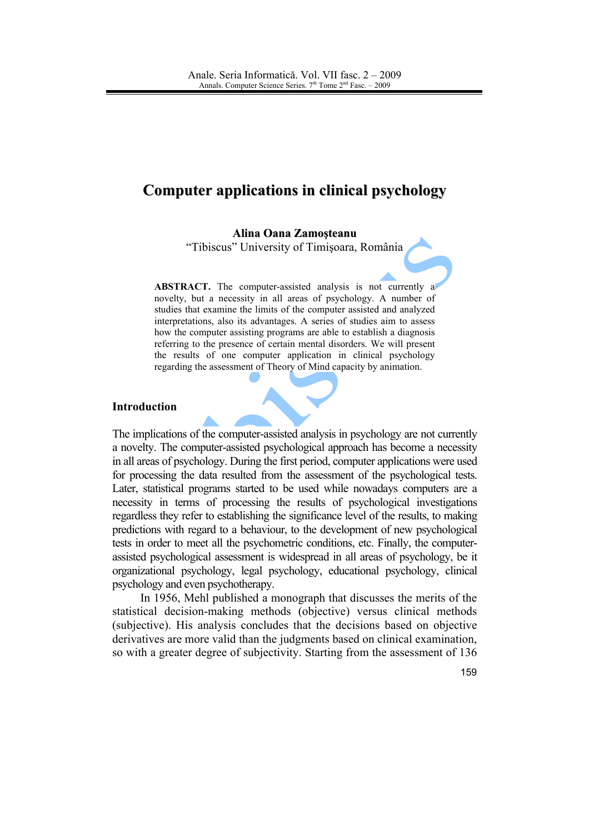# **Computer applications in clinical psychology**

Alina Oana Zamosteanu

"Tibiscus" University of Timisoara, România

ABSTRACT. The computer-assisted analysis is not currently a novelty, but a necessity in all areas of psychology. A number of studies that examine the limits of the computer assisted and analyzed interpretations, also its advantages. A series of studies aim to assess how the computer assisting programs are able to establish a diagnosis referring to the presence of certain mental disorders. We will present the results of one computer application in clinical psychology regarding the assessment of Theory of Mind capacity by animation.

### **Introduction**

The implications of the computer-assisted analysis in psychology are not currently a novelty. The computer-assisted psychological approach has become a necessity in all areas of psychology. During the first period, computer applications were used for processing the data resulted from the assessment of the psychological tests. Later, statistical programs started to be used while nowadays computers are a necessity in terms of processing the results of psychological investigations regardless they refer to establishing the significance level of the results, to making predictions with regard to a behaviour, to the development of new psychological tests in order to meet all the psychometric conditions, etc. Finally, the computerassisted psychological assessment is widespread in all areas of psychology, be it organizational psychology, legal psychology, educational psychology, clinical psychology and even psychotherapy.

In 1956, Mehl published a monograph that discusses the merits of the statistical decision-making methods (objective) versus clinical methods (subjective). His analysis concludes that the decisions based on objective derivatives are more valid than the judgments based on clinical examination, so with a greater degree of subjectivity. Starting from the assessment of 136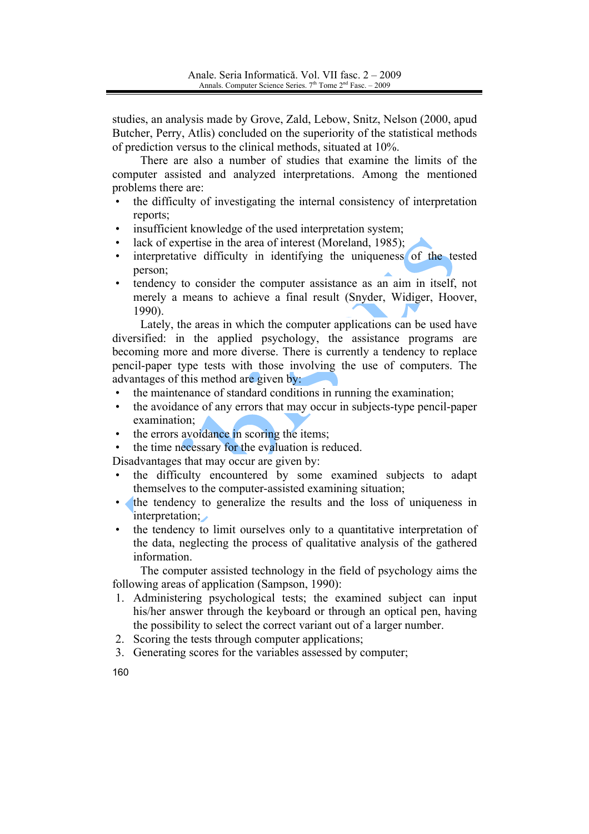studies, an analysis made by Grove, Zald, Lebow, Snitz, Nelson (2000, apud Butcher, Perry, Atlis) concluded on the superiority of the statistical methods of prediction versus to the clinical methods, situated at 10%.

There are also a number of studies that examine the limits of the computer assisted and analyzed interpretations. Among the mentioned problems there are:

- the difficulty of investigating the internal consistency of interpretation reports:
- insufficient knowledge of the used interpretation system;
- lack of expertise in the area of interest (Moreland, 1985);
- interpretative difficulty in identifying the uniqueness of the tested person;
- tendency to consider the computer assistance as an aim in itself, not merely a means to achieve a final result (Snyder, Widiger, Hoover,  $1990$ ).

Lately, the areas in which the computer applications can be used have diversified: in the applied psychology, the assistance programs are becoming more and more diverse. There is currently a tendency to replace pencil-paper type tests with those involving the use of computers. The advantages of this method are given by:

- the maintenance of standard conditions in running the examination;
- the avoidance of any errors that may occur in subjects-type pencil-paper  $\bullet$ examination:
- the errors avoidance in scoring the items;
- the time necessary for the evaluation is reduced.

Disadvantages that may occur are given by:

- the difficulty encountered by some examined subjects to adapt themselves to the computer-assisted examining situation;
- the tendency to generalize the results and the loss of uniqueness in interpretation;
- the tendency to limit ourselves only to a quantitative interpretation of the data, neglecting the process of qualitative analysis of the gathered information.

The computer assisted technology in the field of psychology aims the following areas of application (Sampson, 1990):

- 1. Administering psychological tests; the examined subject can input his/her answer through the keyboard or through an optical pen, having the possibility to select the correct variant out of a larger number.
- 2. Scoring the tests through computer applications;
- 3. Generating scores for the variables assessed by computer;
- 160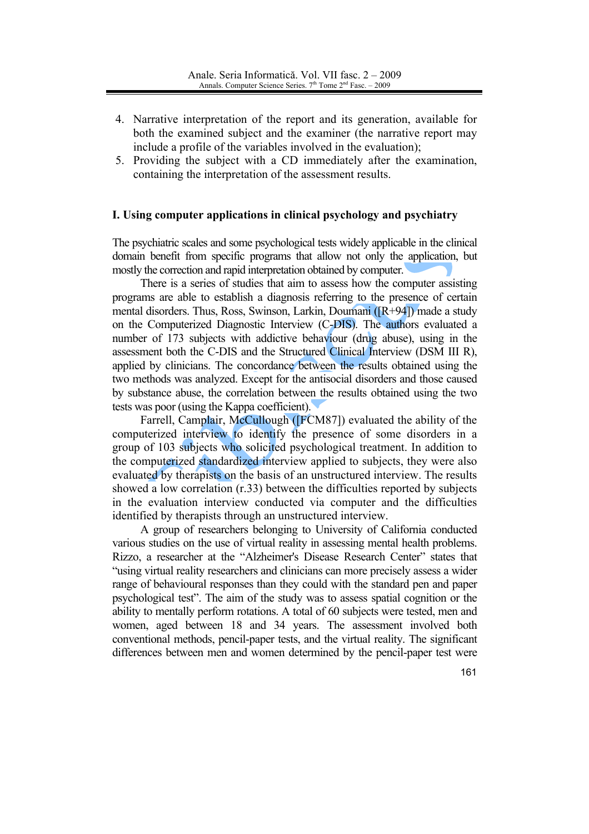- 4. Narrative interpretation of the report and its generation, available for both the examined subject and the examiner (the narrative report may include a profile of the variables involved in the evaluation);
- 5. Providing the subject with a CD immediately after the examination, containing the interpretation of the assessment results.

### I. Using computer applications in clinical psychology and psychiatry

The psychiatric scales and some psychological tests widely applicable in the clinical domain benefit from specific programs that allow not only the application, but mostly the correction and rapid interpretation obtained by computer.

There is a series of studies that aim to assess how the computer assisting programs are able to establish a diagnosis referring to the presence of certain mental disorders. Thus, Ross, Swinson, Larkin, Doumani ([R+94]) made a study on the Computerized Diagnostic Interview (C-DIS). The authors evaluated a number of 173 subjects with addictive behaviour (drug abuse), using in the assessment both the C-DIS and the Structured Clinical Interview (DSM III R), applied by clinicians. The concordance between the results obtained using the two methods was analyzed. Except for the antisocial disorders and those caused by substance abuse, the correlation between the results obtained using the two tests was poor (using the Kappa coefficient).

Farrell, Camplair, McCullough ([FCM87]) evaluated the ability of the computerized interview to identify the presence of some disorders in a group of 103 subjects who solicited psychological treatment. In addition to the computerized standardized interview applied to subjects, they were also evaluated by therapists on the basis of an unstructured interview. The results showed a low correlation (r.33) between the difficulties reported by subjects in the evaluation interview conducted via computer and the difficulties identified by therapists through an unstructured interview.

A group of researchers belonging to University of California conducted various studies on the use of virtual reality in assessing mental health problems. Rizzo, a researcher at the "Alzheimer's Disease Research Center" states that "using virtual reality researchers and clinicians can more precisely assess a wider range of behavioural responses than they could with the standard pen and paper psychological test". The aim of the study was to assess spatial cognition or the ability to mentally perform rotations. A total of 60 subjects were tested, men and women, aged between 18 and 34 years. The assessment involved both conventional methods, pencil-paper tests, and the virtual reality. The significant differences between men and women determined by the pencil-paper test were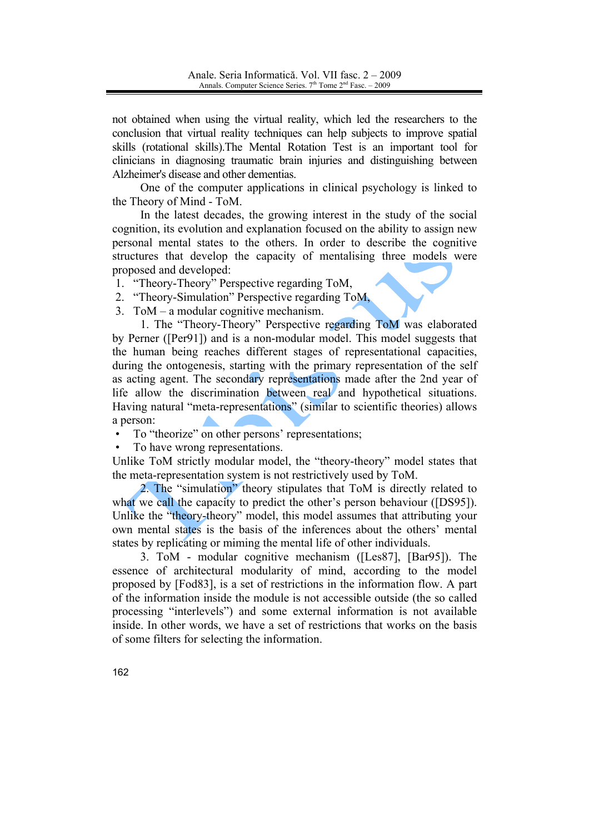not obtained when using the virtual reality, which led the researchers to the conclusion that virtual reality techniques can help subjects to improve spatial skills (rotational skills). The Mental Rotation Test is an important tool for clinicians in diagnosing traumatic brain injuries and distinguishing between Alzheimer's disease and other dementias.

One of the computer applications in clinical psychology is linked to the Theory of Mind - ToM.

In the latest decades, the growing interest in the study of the social cognition, its evolution and explanation focused on the ability to assign new personal mental states to the others. In order to describe the cognitive structures that develop the capacity of mentalising three models were proposed and developed:

- 1. "Theory-Theory" Perspective regarding ToM,
- 2. "Theory-Simulation" Perspective regarding ToM,
- 3. ToM  $-$  a modular cognitive mechanism.

1. The "Theory-Theory" Perspective regarding ToM was elaborated by Perner ([Per91]) and is a non-modular model. This model suggests that the human being reaches different stages of representational capacities, during the ontogenesis, starting with the primary representation of the self as acting agent. The secondary representations made after the 2nd year of life allow the discrimination between real and hypothetical situations. Having natural "meta-representations" (similar to scientific theories) allows a person:

- To "theorize" on other persons' representations;  $\bullet$
- To have wrong representations.

Unlike ToM strictly modular model, the "theory-theory" model states that the meta-representation system is not restrictively used by ToM.

2. The "simulation" theory stipulates that ToM is directly related to what we call the capacity to predict the other's person behaviour ([DS95]). Unlike the "theory-theory" model, this model assumes that attributing your own mental states is the basis of the inferences about the others' mental states by replicating or miming the mental life of other individuals.

3. ToM - modular cognitive mechanism ([Les87], [Bar95]). The essence of architectural modularity of mind, according to the model proposed by [Fod83], is a set of restrictions in the information flow. A part of the information inside the module is not accessible outside (the so called processing "interlevels") and some external information is not available inside. In other words, we have a set of restrictions that works on the basis of some filters for selecting the information.

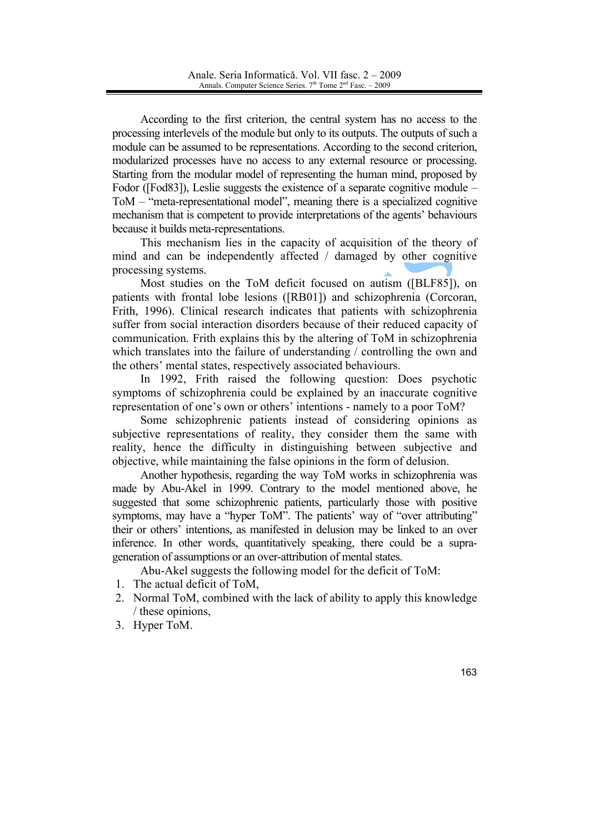According to the first criterion, the central system has no access to the processing interlevels of the module but only to its outputs. The outputs of such a module can be assumed to be representations. According to the second criterion, modularized processes have no access to any external resource or processing. Starting from the modular model of representing the human mind, proposed by Fodor ([Fod83]), Leslie suggests the existence of a separate cognitive module – ToM – "meta-representational model", meaning there is a specialized cognitive mechanism that is competent to provide interpretations of the agents' behaviours because it builds meta-representations.

This mechanism lies in the capacity of acquisition of the theory of mind and can be independently affected / damaged by other cognitive processing systems.

Most studies on the ToM deficit focused on autism ([BLF85]), on patients with frontal lobe lesions ([RB01]) and schizophrenia (Corcoran, Frith, 1996). Clinical research indicates that patients with schizophrenia suffer from social interaction disorders because of their reduced capacity of communication. Frith explains this by the altering of ToM in schizophrenia which translates into the failure of understanding / controlling the own and the others' mental states, respectively associated behaviours.

In 1992, Frith raised the following question: Does psychotic symptoms of schizophrenia could be explained by an inaccurate cognitive representation of one's own or others' intentions - namely to a poor ToM?

Some schizophrenic patients instead of considering opinions as subjective representations of reality, they consider them the same with reality, hence the difficulty in distinguishing between subjective and objective, while maintaining the false opinions in the form of delusion.

Another hypothesis, regarding the way ToM works in schizophrenia was made by Abu-Akel in 1999. Contrary to the model mentioned above, he suggested that some schizophrenic patients, particularly those with positive symptoms, may have a "hyper ToM". The patients' way of "over attributing" their or others' intentions, as manifested in delusion may be linked to an over inference. In other words, quantitatively speaking, there could be a suprageneration of assumptions or an over-attribution of mental states.

Abu-Akel suggests the following model for the deficit of ToM:

- 1. The actual deficit of ToM.
- 2. Normal ToM, combined with the lack of ability to apply this knowledge / these opinions,
- 3. Hyper ToM.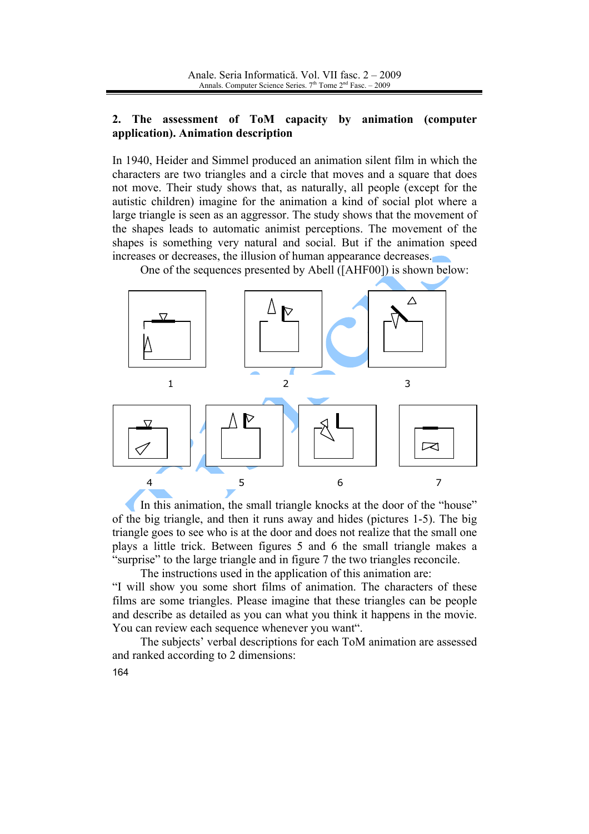#### The assessment of ToM capacity by animation (computer  $2.$ application). Animation description

In 1940, Heider and Simmel produced an animation silent film in which the characters are two triangles and a circle that moves and a square that does not move. Their study shows that, as naturally, all people (except for the autistic children) imagine for the animation a kind of social plot where a large triangle is seen as an aggressor. The study shows that the movement of the shapes leads to automatic animist perceptions. The movement of the shapes is something very natural and social. But if the animation speed increases or decreases, the illusion of human appearance decreases.

One of the sequences presented by Abell ([AHF00]) is shown below:



In this animation, the small triangle knocks at the door of the "house" of the big triangle, and then it runs away and hides (pictures 1-5). The big triangle goes to see who is at the door and does not realize that the small one plays a little trick. Between figures 5 and 6 the small triangle makes a "surprise" to the large triangle and in figure 7 the two triangles reconcile.

The instructions used in the application of this animation are: "I will show you some short films of animation. The characters of these films are some triangles. Please imagine that these triangles can be people and describe as detailed as you can what you think it happens in the movie. You can review each sequence whenever you want".

The subjects' verbal descriptions for each ToM animation are assessed and ranked according to 2 dimensions: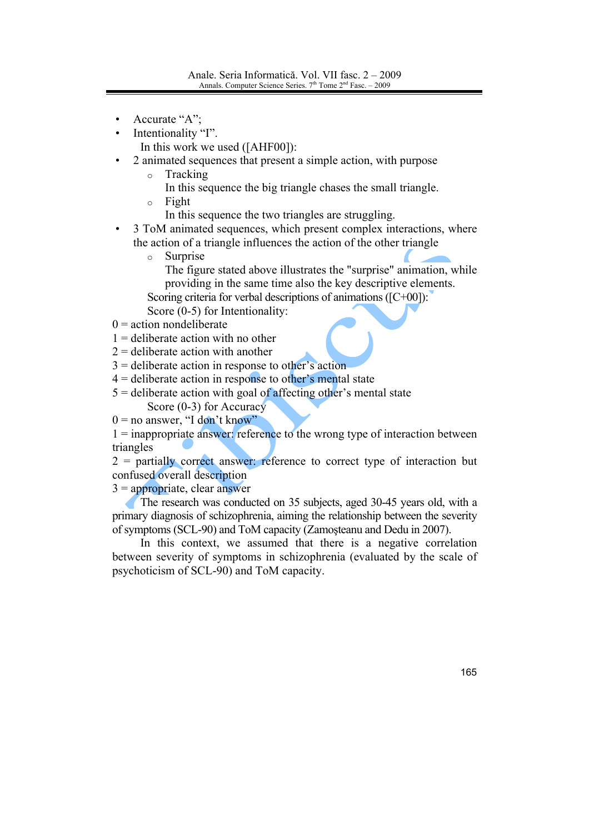- Accurate "A";
- Intentionality "I".

In this work we used ([AHF00]):

- 2 animated sequences that present a simple action, with purpose
	- $\circ$ Tracking
		- In this sequence the big triangle chases the small triangle.
	- Fight  $\circ$ 
		- In this sequence the two triangles are struggling.
- 3 ToM animated sequences, which present complex interactions, where the action of a triangle influences the action of the other triangle
	- $\circ$ Surprise
		- The figure stated above illustrates the "surprise" animation, while providing in the same time also the key descriptive elements.
	- Scoring criteria for verbal descriptions of animations  $([C+00])$ :
	- Score  $(0-5)$  for Intentionality:
- $0 =$  action nondeliberate
- $1 =$  deliberate action with no other
- $2$  = deliberate action with another
- $3$  = deliberate action in response to other's action
- $4 =$  deliberate action in response to other's mental state
- $5$  = deliberate action with goal of affecting other's mental state Score  $(0-3)$  for Accuracy
- $0 =$  no answer, "I don't know"
- $1 =$  inappropriate answer: reference to the wrong type of interaction between triangles
- $2$  = partially correct answer: reference to correct type of interaction but confused overall description

 $3 =$ appropriate, clear answer

The research was conducted on 35 subjects, aged 30-45 years old, with a primary diagnosis of schizophrenia, aiming the relationship between the severity of symptoms (SCL-90) and ToM capacity (Zamosteanu and Dedu in 2007).

In this context, we assumed that there is a negative correlation between severity of symptoms in schizophrenia (evaluated by the scale of psychoticism of SCL-90) and ToM capacity.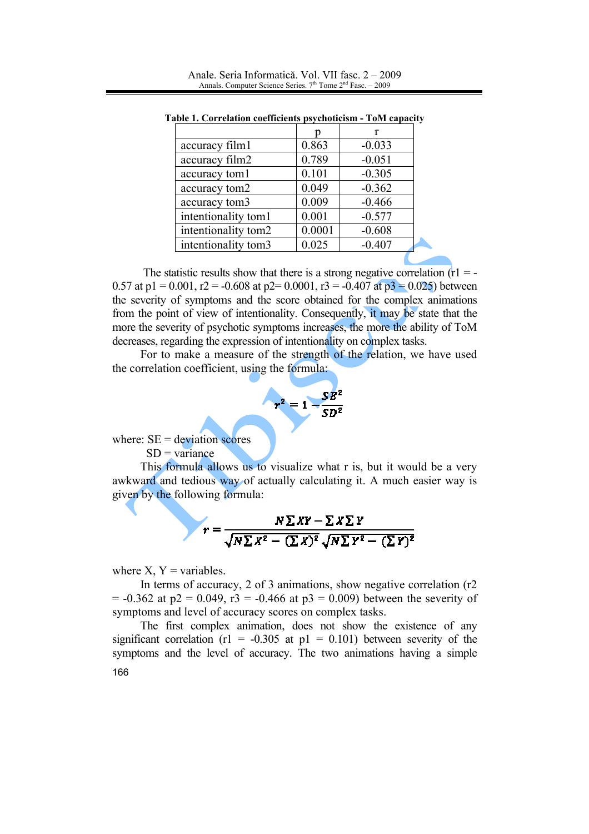| accuracy film1      | 0.863  | $-0.033$ |
|---------------------|--------|----------|
| accuracy film2      | 0.789  | $-0.051$ |
| accuracy tom1       | 0.101  | $-0.305$ |
| accuracy tom2       | 0.049  | $-0.362$ |
| accuracy tom3       | 0.009  | $-0.466$ |
| intentionality tom1 | 0.001  | $-0.577$ |
| intentionality tom2 | 0.0001 | $-0.608$ |
| intentionality tom3 | 0.025  | $-0.407$ |

Anale, Seria Informatică, Vol. VII fasc, 2 – 2009 Annals. Computer Science Series.  $7<sup>th</sup>$  Tome  $2<sup>nd</sup>$  Fasc.  $-2009$ 

The statistic results show that there is a strong negative correlation  $(r)$  = -0.57 at p1 = 0.001, r2 = -0.608 at p2= 0.0001, r3 = -0.407 at p3 = 0.025) between the severity of symptoms and the score obtained for the complex animations from the point of view of intentionality. Consequently, it may be state that the more the severity of psychotic symptoms increases, the more the ability of ToM decreases, regarding the expression of intentionality on complex tasks.

Table 1. Correlation coefficients psychoticism - ToM capacity

For to make a measure of the strength of the relation, we have used the correlation coefficient, using the formula:



where:  $SE = deviation$  scores

 $SD = variance$ 

This formula allows us to visualize what r is, but it would be a very awkward and tedious way of actually calculating it. A much easier way is given by the following formula:

$$
r = \frac{N \sum XY - \sum X \sum Y}{\sqrt{N \sum X^2 - (\sum X)^2} \sqrt{N \sum Y^2 - (\sum Y)^2}}
$$

where  $X, Y = \text{variables}$ .

In terms of accuracy, 2 of 3 animations, show negative correlation  $(r2)$  $= -0.362$  at p2 = 0.049, r3 = -0.466 at p3 = 0.009) between the severity of symptoms and level of accuracy scores on complex tasks.

The first complex animation, does not show the existence of any significant correlation (r1 = -0.305 at p1 = 0.101) between severity of the symptoms and the level of accuracy. The two animations having a simple 166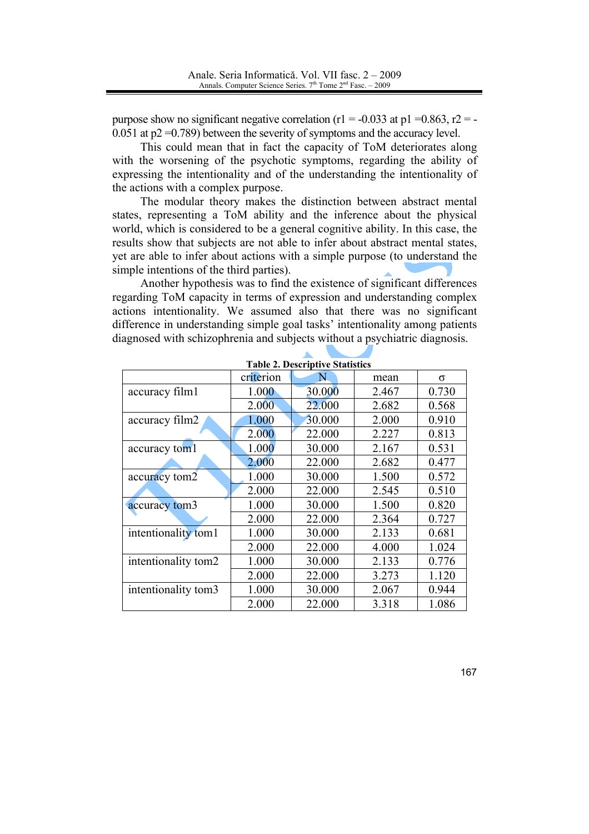purpose show no significant negative correlation ( $r1 = -0.033$  at  $p1 = 0.863$ ,  $r2 = -1$  $0.051$  at  $p2 = 0.789$ ) between the severity of symptoms and the accuracy level.

This could mean that in fact the capacity of ToM deteriorates along with the worsening of the psychotic symptoms, regarding the ability of expressing the intentionality and of the understanding the intentionality of the actions with a complex purpose.

The modular theory makes the distinction between abstract mental states, representing a ToM ability and the inference about the physical world, which is considered to be a general cognitive ability. In this case, the results show that subjects are not able to infer about abstract mental states, yet are able to infer about actions with a simple purpose (to understand the simple intentions of the third parties).

Another hypothesis was to find the existence of significant differences regarding ToM capacity in terms of expression and understanding complex actions intentionality. We assumed also that there was no significant difference in understanding simple goal tasks' intentionality among patients diagnosed with schizophrenia and subjects without a psychiatric diagnosis.

|                     | criterion | N      | mean  | σ     |
|---------------------|-----------|--------|-------|-------|
| accuracy film1      | 1.000     | 30.000 | 2.467 | 0.730 |
|                     | 2.000     | 22.000 | 2.682 | 0.568 |
| accuracy film2      | 1.000     | 30.000 | 2.000 | 0.910 |
|                     | 2.000     | 22.000 | 2.227 | 0.813 |
| accuracy tom1       | 1.000     | 30.000 | 2.167 | 0.531 |
|                     | 2.000     | 22.000 | 2.682 | 0.477 |
| accuracy tom2       | 1.000     | 30.000 | 1.500 | 0.572 |
|                     | 2.000     | 22.000 | 2.545 | 0.510 |
| accuracy tom3       | 1.000     | 30.000 | 1.500 | 0.820 |
|                     | 2.000     | 22.000 | 2.364 | 0.727 |
| intentionality tom1 | 1.000     | 30.000 | 2.133 | 0.681 |
|                     | 2.000     | 22.000 | 4.000 | 1.024 |
| intentionality tom2 | 1.000     | 30.000 | 2.133 | 0.776 |
|                     | 2.000     | 22.000 | 3.273 | 1.120 |
| intentionality tom3 | 1.000     | 30.000 | 2.067 | 0.944 |
|                     | 2.000     | 22.000 | 3.318 | 1.086 |

**Table 2. Descriptive Statistics**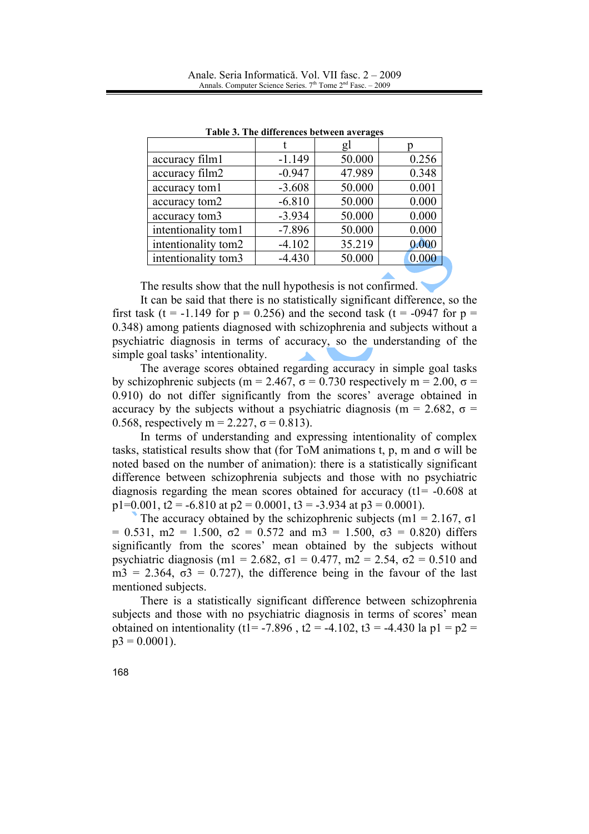|                     |          | gl     |       |
|---------------------|----------|--------|-------|
| accuracy film1      | $-1.149$ | 50.000 | 0.256 |
| accuracy film2      | $-0.947$ | 47.989 | 0.348 |
| accuracy tom1       | $-3.608$ | 50.000 | 0.001 |
| accuracy tom2       | $-6.810$ | 50.000 | 0.000 |
| accuracy tom3       | $-3.934$ | 50.000 | 0.000 |
| intentionality tom1 | $-7.896$ | 50.000 | 0.000 |
| intentionality tom2 | $-4.102$ | 35.219 | 0.000 |
| intentionality tom3 | $-4.430$ | 50.000 | 0.000 |

Table 3. The differences between averages

The results show that the null hypothesis is not confirmed.

It can be said that there is no statistically significant difference, so the first task (t = -1.149 for  $p = 0.256$ ) and the second task (t = -0947 for  $p =$ 0.348) among patients diagnosed with schizophrenia and subjects without a psychiatric diagnosis in terms of accuracy, so the understanding of the simple goal tasks' intentionality.

The average scores obtained regarding accuracy in simple goal tasks by schizophrenic subjects (m = 2.467,  $\sigma$  = 0.730 respectively m = 2.00,  $\sigma$  = 0.910) do not differ significantly from the scores' average obtained in accuracy by the subjects without a psychiatric diagnosis (m = 2.682,  $\sigma$  = 0.568, respectively m = 2.227,  $\sigma$  = 0.813).

In terms of understanding and expressing intentionality of complex tasks, statistical results show that (for ToM animations t, p, m and  $\sigma$  will be noted based on the number of animation): there is a statistically significant difference between schizophrenia subjects and those with no psychiatric diagnosis regarding the mean scores obtained for accuracy  $(t1 = -0.608$  at  $p1=0.001$ ,  $t2 = -6.810$  at  $p2 = 0.0001$ ,  $t3 = -3.934$  at  $p3 = 0.0001$ ).

The accuracy obtained by the schizophrenic subjects (m1 = 2.167,  $\sigma$ 1)  $= 0.531$ , m2 = 1.500,  $\sigma$ 2 = 0.572 and m3 = 1.500,  $\sigma$ 3 = 0.820) differs significantly from the scores' mean obtained by the subjects without psychiatric diagnosis (m1 = 2.682,  $\sigma$ 1 = 0.477, m2 = 2.54,  $\sigma$ 2 = 0.510 and  $m3 = 2.364$ ,  $\sigma3 = 0.727$ , the difference being in the favour of the last mentioned subjects.

There is a statistically significant difference between schizophrenia subjects and those with no psychiatric diagnosis in terms of scores' mean obtained on intentionality (t1= -7.896, t2 = -4.102, t3 = -4.430 la p1 =  $p2$  =  $p3 = 0.0001$ ).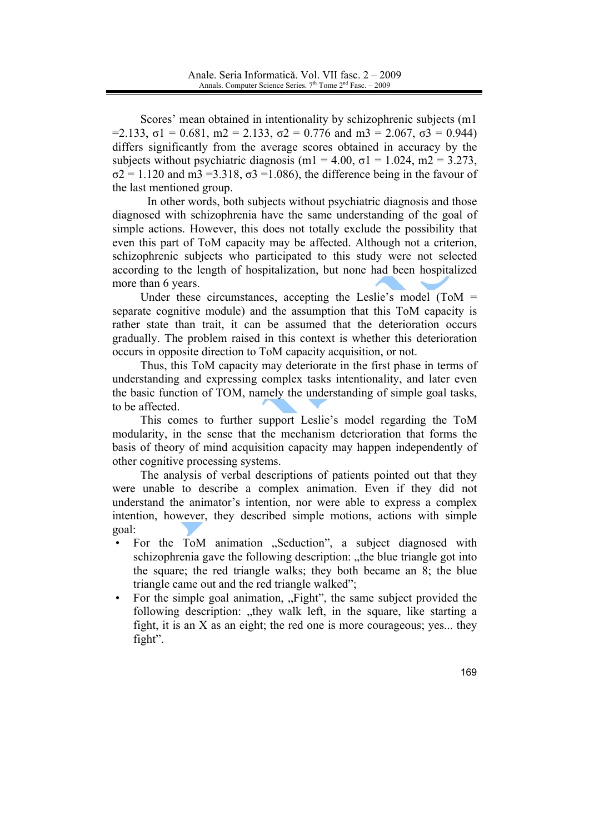Scores' mean obtained in intentionality by schizophrenic subjects (m1)  $=2.133$ ,  $\sigma$ 1 = 0.681, m2 = 2.133,  $\sigma$ 2 = 0.776 and m3 = 2.067,  $\sigma$ 3 = 0.944) differs significantly from the average scores obtained in accuracy by the subjects without psychiatric diagnosis (m1 = 4.00,  $\sigma$ 1 = 1.024, m2 = 3.273,  $\sigma$ 2 = 1.120 and m3 = 3.318,  $\sigma$ 3 = 1.086), the difference being in the favour of the last mentioned group.

In other words, both subjects without psychiatric diagnosis and those diagnosed with schizophrenia have the same understanding of the goal of simple actions. However, this does not totally exclude the possibility that even this part of ToM capacity may be affected. Although not a criterion, schizophrenic subjects who participated to this study were not selected according to the length of hospitalization, but none had been hospitalized more than 6 years.

Under these circumstances, accepting the Leslie's model (ToM  $=$ separate cognitive module) and the assumption that this ToM capacity is rather state than trait, it can be assumed that the deterioration occurs gradually. The problem raised in this context is whether this deterioration occurs in opposite direction to ToM capacity acquisition, or not.

Thus, this ToM capacity may deteriorate in the first phase in terms of understanding and expressing complex tasks intentionality, and later even the basic function of TOM, namely the understanding of simple goal tasks, to be affected.

This comes to further support Leslie's model regarding the ToM modularity, in the sense that the mechanism deterioration that forms the basis of theory of mind acquisition capacity may happen independently of other cognitive processing systems.

The analysis of verbal descriptions of patients pointed out that they were unable to describe a complex animation. Even if they did not understand the animator's intention, nor were able to express a complex intention, however, they described simple motions, actions with simple goal:

- For the ToM animation "Seduction", a subject diagnosed with schizophrenia gave the following description: "the blue triangle got into the square; the red triangle walks; they both became an 8; the blue triangle came out and the red triangle walked";
- For the simple goal animation, "Fight", the same subject provided the following description: "they walk left, in the square, like starting a fight, it is an  $X$  as an eight; the red one is more courageous; yes... they fight".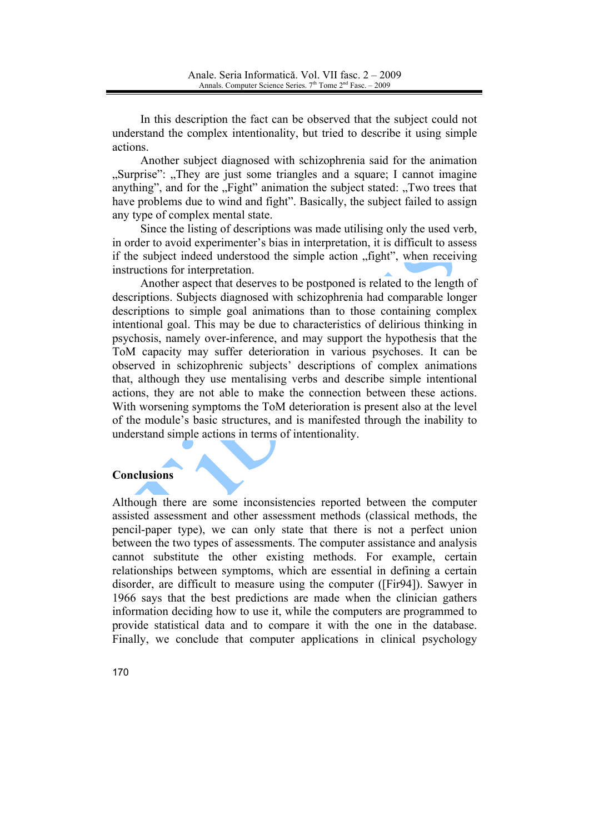In this description the fact can be observed that the subject could not understand the complex intentionality, but tried to describe it using simple actions.

Another subject diagnosed with schizophrenia said for the animation "Surprise": "They are just some triangles and a square; I cannot imagine anything", and for the "Fight" animation the subject stated: "Two trees that have problems due to wind and fight". Basically, the subject failed to assign any type of complex mental state.

Since the listing of descriptions was made utilising only the used verb, in order to avoid experimenter's bias in interpretation, it is difficult to assess if the subject indeed understood the simple action "fight", when receiving instructions for interpretation.

Another aspect that deserves to be postponed is related to the length of descriptions. Subjects diagnosed with schizophrenia had comparable longer descriptions to simple goal animations than to those containing complex intentional goal. This may be due to characteristics of delirious thinking in psychosis, namely over-inference, and may support the hypothesis that the ToM capacity may suffer deterioration in various psychoses. It can be observed in schizophrenic subjects' descriptions of complex animations that, although they use mentalising verbs and describe simple intentional actions, they are not able to make the connection between these actions. With worsening symptoms the ToM deterioration is present also at the level of the module's basic structures, and is manifested through the inability to understand simple actions in terms of intentionality.

### **Conclusions**

Although there are some inconsistencies reported between the computer assisted assessment and other assessment methods (classical methods, the pencil-paper type), we can only state that there is not a perfect union between the two types of assessments. The computer assistance and analysis cannot substitute the other existing methods. For example, certain relationships between symptoms, which are essential in defining a certain disorder, are difficult to measure using the computer ([Fir94]). Sawyer in 1966 says that the best predictions are made when the clinician gathers information deciding how to use it, while the computers are programmed to provide statistical data and to compare it with the one in the database. Finally, we conclude that computer applications in clinical psychology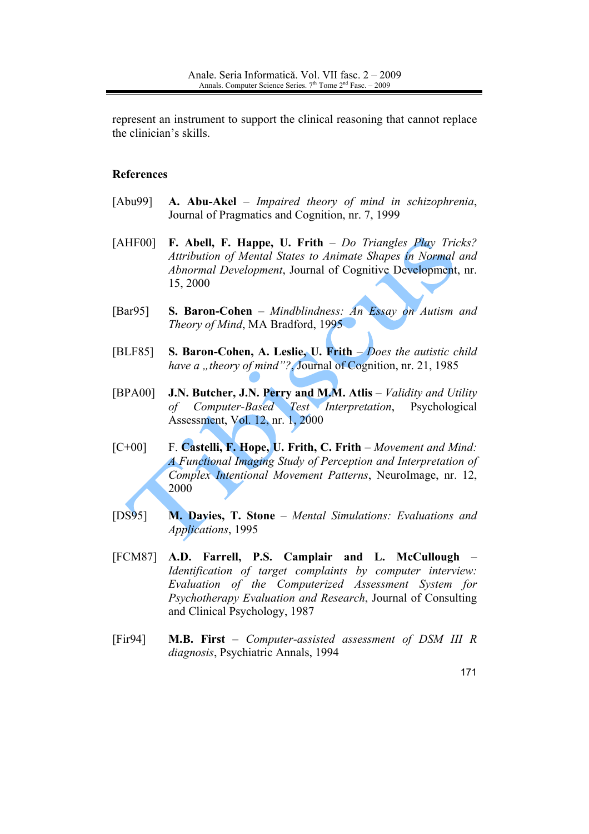represent an instrument to support the clinical reasoning that cannot replace the clinician's skills.

## **References**

- [Abu99] A. Abu-Akel – Impaired theory of mind in schizophrenia, Journal of Pragmatics and Cognition, nr. 7, 1999
- $[AHF00]$ F. Abell, F. Happe, U. Frith - Do Triangles Play Tricks? Attribution of Mental States to Animate Shapes in Normal and Abnormal Development, Journal of Cognitive Development, nr. 15, 2000
- **S. Baron-Cohen** Mindblindness: An Essay on Autism and  $\sqrt{Bar95}$ Theory of Mind, MA Bradford, 1995
- S. Baron-Cohen, A. Leslie, U. Frith  $-Does$  the autistic child [BLF85] have a "theory of mind"? Journal of Cognition, nr. 21, 1985
- [BPA00] J.N. Butcher, J.N. Perry and M.M. Atlis - Validity and Utility Computer-Based Test Interpretation, Psychological  $\sigma f$ Assessment, Vol. 12, nr. 1, 2000
- $[C+00]$ F. Castelli, F. Hope, U. Frith, C. Frith – Movement and Mind: A Functional Imaging Study of Perception and Interpretation of Complex Intentional Movement Patterns, NeuroImage, nr. 12, 2000
- M. Davies, T. Stone Mental Simulations: Evaluations and  $[DS95]$ Applications, 1995
- [FCM87] A.D. Farrell, P.S. Camplair and L. McCullough Identification of target complaints by computer interview: Evaluation of the Computerized Assessment System for Psychotherapy Evaluation and Research, Journal of Consulting and Clinical Psychology, 1987
- $[Fig94]$ M.B. First - Computer-assisted assessment of DSM III R diagnosis, Psychiatric Annals, 1994